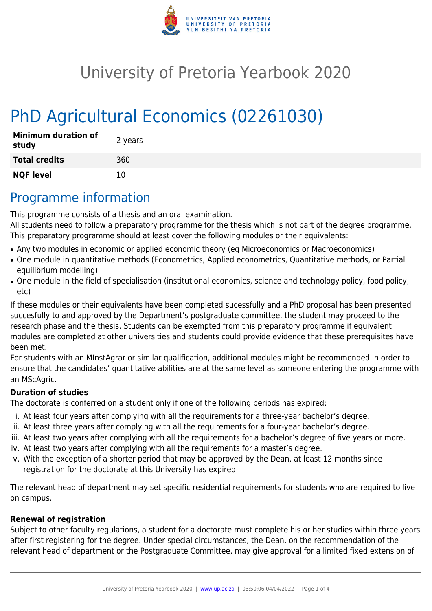

# University of Pretoria Yearbook 2020

# PhD Agricultural Economics (02261030)

| <b>Minimum duration of</b><br>study | 2 years |
|-------------------------------------|---------|
| <b>Total credits</b>                | 360     |
| <b>NQF level</b>                    | 10      |

## Programme information

This programme consists of a thesis and an oral examination.

All students need to follow a preparatory programme for the thesis which is not part of the degree programme. This preparatory programme should at least cover the following modules or their equivalents:

- Any two modules in economic or applied economic theory (eg Microeconomics or Macroeconomics)
- One module in quantitative methods (Econometrics, Applied econometrics, Quantitative methods, or Partial equilibrium modelling)
- One module in the field of specialisation (institutional economics, science and technology policy, food policy, etc)

If these modules or their equivalents have been completed sucessfully and a PhD proposal has been presented succesfully to and approved by the Department's postgraduate committee, the student may proceed to the research phase and the thesis. Students can be exempted from this preparatory programme if equivalent modules are completed at other universities and students could provide evidence that these prerequisites have been met.

For students with an MInstAgrar or similar qualification, additional modules might be recommended in order to ensure that the candidates' quantitative abilities are at the same level as someone entering the programme with an MScAgric.

#### **Duration of studies**

The doctorate is conferred on a student only if one of the following periods has expired:

- i. At least four years after complying with all the requirements for a three-year bachelor's degree.
- ii. At least three years after complying with all the requirements for a four-year bachelor's degree.
- iii. At least two years after complying with all the requirements for a bachelor's degree of five years or more.
- iv. At least two years after complying with all the requirements for a master's degree.
- v. With the exception of a shorter period that may be approved by the Dean, at least 12 months since registration for the doctorate at this University has expired.

The relevant head of department may set specific residential requirements for students who are required to live on campus.

#### **Renewal of registration**

Subject to other faculty regulations, a student for a doctorate must complete his or her studies within three years after first registering for the degree. Under special circumstances, the Dean, on the recommendation of the relevant head of department or the Postgraduate Committee, may give approval for a limited fixed extension of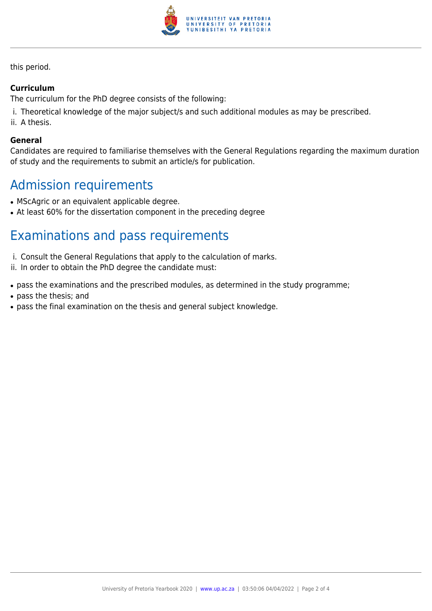

this period.

#### **Curriculum**

The curriculum for the PhD degree consists of the following:

- i. Theoretical knowledge of the major subject/s and such additional modules as may be prescribed.
- ii. A thesis.

#### **General**

Candidates are required to familiarise themselves with the General Regulations regarding the maximum duration of study and the requirements to submit an article/s for publication.

## Admission requirements

- MScAgric or an equivalent applicable degree.
- At least 60% for the dissertation component in the preceding degree

## Examinations and pass requirements

- i. Consult the General Regulations that apply to the calculation of marks.
- ii. In order to obtain the PhD degree the candidate must:
- pass the examinations and the prescribed modules, as determined in the study programme;
- pass the thesis; and
- pass the final examination on the thesis and general subject knowledge.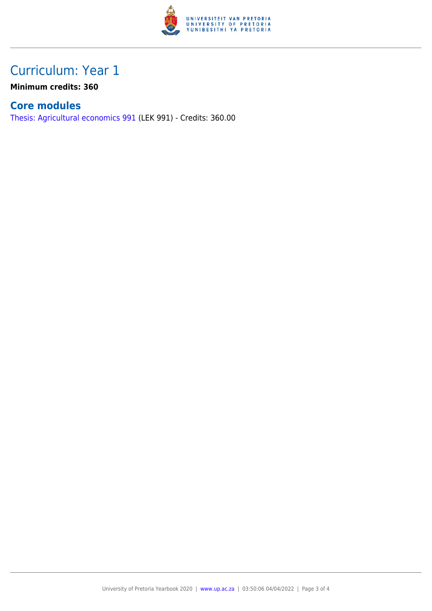

## Curriculum: Year 1

**Minimum credits: 360**

### **Core modules**

[Thesis: Agricultural economics 991](https://www.up.ac.za/faculty-of-education/yearbooks/2020/modules/view/LEK 991) (LEK 991) - Credits: 360.00